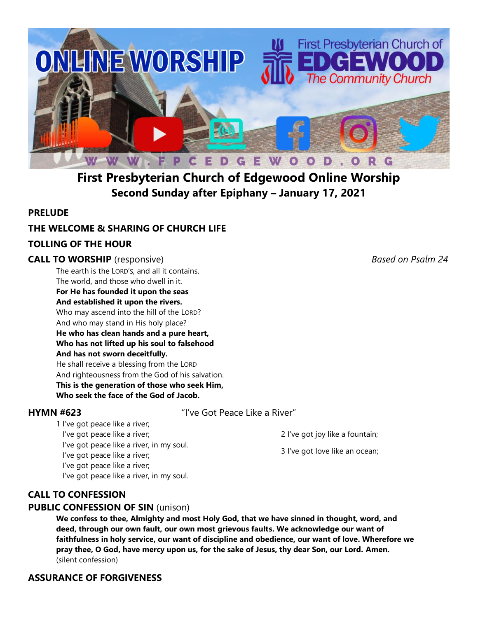

# **First Presbyterian Church of Edgewood Online Worship Second Sunday after Epiphany – January 17, 2021**

## **PRELUDE**

# **THE WELCOME & SHARING OF CHURCH LIFE**

# **TOLLING OF THE HOUR**

## **CALL TO WORSHIP** (responsive) *Based on Psalm 24*

The earth is the LORD'S, and all it contains, The world, and those who dwell in it. **For He has founded it upon the seas And established it upon the rivers.** Who may ascend into the hill of the LORD? And who may stand in His holy place? **He who has clean hands and a pure heart, Who has not lifted up his soul to falsehood And has not sworn deceitfully.** He shall receive a blessing from the LORD And righteousness from the God of his salvation. **This is the generation of those who seek Him, Who seek the face of the God of Jacob.**

**HYMN #623** "I've Got Peace Like a River"

1 I've got peace like a river; I've got peace like a river; I've got peace like a river, in my soul. I've got peace like a river; I've got peace like a river; I've got peace like a river, in my soul.

- 2 I've got joy like a fountain;
	- 3 I've got love like an ocean;

# **CALL TO CONFESSION**

### **PUBLIC CONFESSION OF SIN (unison)**

**We confess to thee, Almighty and most Holy God, that we have sinned in thought, word, and deed, through our own fault, our own most grievous faults. We acknowledge our want of faithfulness in holy service, our want of discipline and obedience, our want of love. Wherefore we pray thee, O God, have mercy upon us, for the sake of Jesus, thy dear Son, our Lord. Amen.** (silent confession)

# **ASSURANCE OF FORGIVENESS**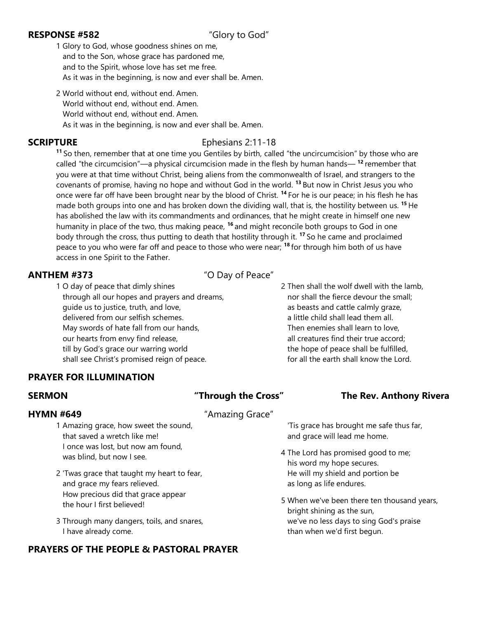### **RESPONSE #582** "Glory to God"

1 Glory to God, whose goodness shines on me, and to the Son, whose grace has pardoned me, and to the Spirit, whose love has set me free. As it was in the beginning, is now and ever shall be. Amen.

2 World without end, without end. Amen. World without end, without end. Amen. World without end, without end. Amen. As it was in the beginning, is now and ever shall be. Amen.

# **SCRIPTURE** Ephesians 2:11-18

**<sup>11</sup>** So then, remember that at one time you Gentiles by birth, called "the uncircumcision" by those who are called "the circumcision"—a physical circumcision made in the flesh by human hands— **<sup>12</sup>** remember that you were at that time without Christ, being aliens from the commonwealth of Israel, and strangers to the covenants of promise, having no hope and without God in the world. **<sup>13</sup>** But now in Christ Jesus you who once were far off have been brought near by the blood of Christ. **<sup>14</sup>** For he is our peace; in his flesh he has made both groups into one and has broken down the dividing wall, that is, the hostility between us. **<sup>15</sup>** He has abolished the law with its commandments and ordinances, that he might create in himself one new humanity in place of the two, thus making peace, **<sup>16</sup>** and might reconcile both groups to God in one body through the cross, thus putting to death that hostility through it. **<sup>17</sup>** So he came and proclaimed peace to you who were far off and peace to those who were near; **<sup>18</sup>** for through him both of us have access in one Spirit to the Father.

## **ANTHEM #373** "O Day of Peace"

1 O day of peace that dimly shines through all our hopes and prayers and dreams, guide us to justice, truth, and love, delivered from our selfish schemes. May swords of hate fall from our hands, our hearts from envy find release, till by God's grace our warring world shall see Christ's promised reign of peace.

### 2 Then shall the wolf dwell with the lamb, nor shall the fierce devour the small; as beasts and cattle calmly graze, a little child shall lead them all. Then enemies shall learn to love, all creatures find their true accord; the hope of peace shall be fulfilled,

for all the earth shall know the Lord.

# **PRAYER FOR ILLUMINATION**

### **SERMON "Through the Cross" The Rev. Anthony Rivera**

**HYMN #649** "Amazing Grace"

1 Amazing grace, how sweet the sound, that saved a wretch like me! I once was lost, but now am found, was blind, but now I see.

- 2 'Twas grace that taught my heart to fear, and grace my fears relieved. How precious did that grace appear the hour I first believed!
- 3 Through many dangers, toils, and snares, I have already come.

# **PRAYERS OF THE PEOPLE & PASTORAL PRAYER**

 'Tis grace has brought me safe thus far, and grace will lead me home.

- 4 The Lord has promised good to me; his word my hope secures. He will my shield and portion be as long as life endures.
- 5 When we've been there ten thousand years, bright shining as the sun, we've no less days to sing God's praise than when we'd first begun.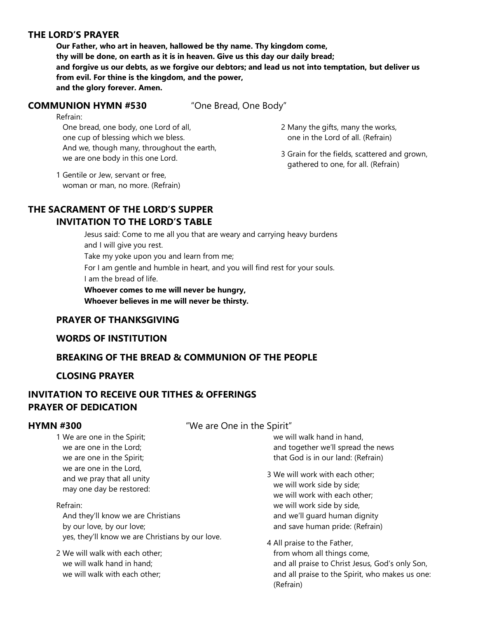### **THE LORD'S PRAYER**

**Our Father, who art in heaven, hallowed be thy name. Thy kingdom come, thy will be done, on earth as it is in heaven. Give us this day our daily bread; and forgive us our debts, as we forgive our debtors; and lead us not into temptation, but deliver us from evil. For thine is the kingdom, and the power, and the glory forever. Amen.**

### **COMMUNION HYMN #530** "One Bread, One Body"

Refrain:

 One bread, one body, one Lord of all, one cup of blessing which we bless. And we, though many, throughout the earth, we are one body in this one Lord.

1 Gentile or Jew, servant or free, woman or man, no more. (Refrain)

- 2 Many the gifts, many the works, one in the Lord of all. (Refrain)
- 3 Grain for the fields, scattered and grown, gathered to one, for all. (Refrain)

# **THE SACRAMENT OF THE LORD'S SUPPER INVITATION TO THE LORD'S TABLE**

Jesus said: Come to me all you that are weary and carrying heavy burdens and I will give you rest. Take my yoke upon you and learn from me; For I am gentle and humble in heart, and you will find rest for your souls. I am the bread of life. **Whoever comes to me will never be hungry, Whoever believes in me will never be thirsty.**

# **PRAYER OF THANKSGIVING**

# **WORDS OF INSTITUTION**

# **BREAKING OF THE BREAD & COMMUNION OF THE PEOPLE**

# **CLOSING PRAYER**

# **INVITATION TO RECEIVE OUR TITHES & OFFERINGS PRAYER OF DEDICATION**

### **HYMN #300** "We are One in the Spirit"

1 We are one in the Spirit; we are one in the Lord; we are one in the Spirit; we are one in the Lord, and we pray that all unity may one day be restored:

### Refrain:

 And they'll know we are Christians by our love, by our love; yes, they'll know we are Christians by our love.

2 We will walk with each other; we will walk hand in hand; we will walk with each other;

 we will walk hand in hand, and together we'll spread the news that God is in our land: (Refrain)

- 3 We will work with each other; we will work side by side; we will work with each other; we will work side by side, and we'll guard human dignity and save human pride: (Refrain)
- 4 All praise to the Father, from whom all things come, and all praise to Christ Jesus, God's only Son, and all praise to the Spirit, who makes us one: (Refrain)